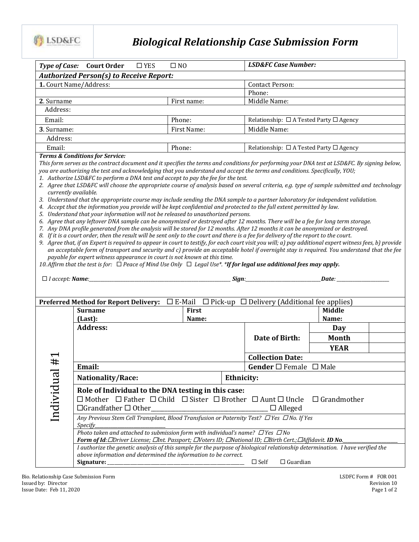

## *Biological Relationship Case Submission Form*

| <b>Court Order</b><br>$\square$ YES                                                                                                                                                                                                                                                                                                  | $\square$ NO                                                                                                                                                                                                                                              |                                                                  |                                                                                                                                  |                                                                                                                                                                                                                                                                                                                        |                                                                                                                                                                                                                                                                                                                                                                                                                                                                                                                                                                                                                                                                                                                                                                                                                                                                                                                                                                                                                                                                                                                                                                                                                                                                                                                                                                                                                                                                                                                                                                                                                                                                                                                                                                                                                                                                                                                                                                                                                                                                                                           |  |
|--------------------------------------------------------------------------------------------------------------------------------------------------------------------------------------------------------------------------------------------------------------------------------------------------------------------------------------|-----------------------------------------------------------------------------------------------------------------------------------------------------------------------------------------------------------------------------------------------------------|------------------------------------------------------------------|----------------------------------------------------------------------------------------------------------------------------------|------------------------------------------------------------------------------------------------------------------------------------------------------------------------------------------------------------------------------------------------------------------------------------------------------------------------|-----------------------------------------------------------------------------------------------------------------------------------------------------------------------------------------------------------------------------------------------------------------------------------------------------------------------------------------------------------------------------------------------------------------------------------------------------------------------------------------------------------------------------------------------------------------------------------------------------------------------------------------------------------------------------------------------------------------------------------------------------------------------------------------------------------------------------------------------------------------------------------------------------------------------------------------------------------------------------------------------------------------------------------------------------------------------------------------------------------------------------------------------------------------------------------------------------------------------------------------------------------------------------------------------------------------------------------------------------------------------------------------------------------------------------------------------------------------------------------------------------------------------------------------------------------------------------------------------------------------------------------------------------------------------------------------------------------------------------------------------------------------------------------------------------------------------------------------------------------------------------------------------------------------------------------------------------------------------------------------------------------------------------------------------------------------------------------------------------------|--|
|                                                                                                                                                                                                                                                                                                                                      |                                                                                                                                                                                                                                                           |                                                                  |                                                                                                                                  |                                                                                                                                                                                                                                                                                                                        |                                                                                                                                                                                                                                                                                                                                                                                                                                                                                                                                                                                                                                                                                                                                                                                                                                                                                                                                                                                                                                                                                                                                                                                                                                                                                                                                                                                                                                                                                                                                                                                                                                                                                                                                                                                                                                                                                                                                                                                                                                                                                                           |  |
|                                                                                                                                                                                                                                                                                                                                      |                                                                                                                                                                                                                                                           | <b>Contact Person:</b>                                           |                                                                                                                                  |                                                                                                                                                                                                                                                                                                                        |                                                                                                                                                                                                                                                                                                                                                                                                                                                                                                                                                                                                                                                                                                                                                                                                                                                                                                                                                                                                                                                                                                                                                                                                                                                                                                                                                                                                                                                                                                                                                                                                                                                                                                                                                                                                                                                                                                                                                                                                                                                                                                           |  |
|                                                                                                                                                                                                                                                                                                                                      |                                                                                                                                                                                                                                                           |                                                                  | Phone:                                                                                                                           |                                                                                                                                                                                                                                                                                                                        |                                                                                                                                                                                                                                                                                                                                                                                                                                                                                                                                                                                                                                                                                                                                                                                                                                                                                                                                                                                                                                                                                                                                                                                                                                                                                                                                                                                                                                                                                                                                                                                                                                                                                                                                                                                                                                                                                                                                                                                                                                                                                                           |  |
| 2. Surname<br>First name:<br>Address:                                                                                                                                                                                                                                                                                                |                                                                                                                                                                                                                                                           |                                                                  |                                                                                                                                  |                                                                                                                                                                                                                                                                                                                        |                                                                                                                                                                                                                                                                                                                                                                                                                                                                                                                                                                                                                                                                                                                                                                                                                                                                                                                                                                                                                                                                                                                                                                                                                                                                                                                                                                                                                                                                                                                                                                                                                                                                                                                                                                                                                                                                                                                                                                                                                                                                                                           |  |
|                                                                                                                                                                                                                                                                                                                                      |                                                                                                                                                                                                                                                           |                                                                  |                                                                                                                                  |                                                                                                                                                                                                                                                                                                                        |                                                                                                                                                                                                                                                                                                                                                                                                                                                                                                                                                                                                                                                                                                                                                                                                                                                                                                                                                                                                                                                                                                                                                                                                                                                                                                                                                                                                                                                                                                                                                                                                                                                                                                                                                                                                                                                                                                                                                                                                                                                                                                           |  |
|                                                                                                                                                                                                                                                                                                                                      | Phone:                                                                                                                                                                                                                                                    |                                                                  |                                                                                                                                  |                                                                                                                                                                                                                                                                                                                        |                                                                                                                                                                                                                                                                                                                                                                                                                                                                                                                                                                                                                                                                                                                                                                                                                                                                                                                                                                                                                                                                                                                                                                                                                                                                                                                                                                                                                                                                                                                                                                                                                                                                                                                                                                                                                                                                                                                                                                                                                                                                                                           |  |
|                                                                                                                                                                                                                                                                                                                                      | First Name:                                                                                                                                                                                                                                               |                                                                  | Middle Name:                                                                                                                     |                                                                                                                                                                                                                                                                                                                        |                                                                                                                                                                                                                                                                                                                                                                                                                                                                                                                                                                                                                                                                                                                                                                                                                                                                                                                                                                                                                                                                                                                                                                                                                                                                                                                                                                                                                                                                                                                                                                                                                                                                                                                                                                                                                                                                                                                                                                                                                                                                                                           |  |
|                                                                                                                                                                                                                                                                                                                                      |                                                                                                                                                                                                                                                           |                                                                  |                                                                                                                                  |                                                                                                                                                                                                                                                                                                                        |                                                                                                                                                                                                                                                                                                                                                                                                                                                                                                                                                                                                                                                                                                                                                                                                                                                                                                                                                                                                                                                                                                                                                                                                                                                                                                                                                                                                                                                                                                                                                                                                                                                                                                                                                                                                                                                                                                                                                                                                                                                                                                           |  |
|                                                                                                                                                                                                                                                                                                                                      | Phone:                                                                                                                                                                                                                                                    |                                                                  |                                                                                                                                  |                                                                                                                                                                                                                                                                                                                        |                                                                                                                                                                                                                                                                                                                                                                                                                                                                                                                                                                                                                                                                                                                                                                                                                                                                                                                                                                                                                                                                                                                                                                                                                                                                                                                                                                                                                                                                                                                                                                                                                                                                                                                                                                                                                                                                                                                                                                                                                                                                                                           |  |
|                                                                                                                                                                                                                                                                                                                                      |                                                                                                                                                                                                                                                           |                                                                  |                                                                                                                                  |                                                                                                                                                                                                                                                                                                                        |                                                                                                                                                                                                                                                                                                                                                                                                                                                                                                                                                                                                                                                                                                                                                                                                                                                                                                                                                                                                                                                                                                                                                                                                                                                                                                                                                                                                                                                                                                                                                                                                                                                                                                                                                                                                                                                                                                                                                                                                                                                                                                           |  |
|                                                                                                                                                                                                                                                                                                                                      |                                                                                                                                                                                                                                                           |                                                                  |                                                                                                                                  |                                                                                                                                                                                                                                                                                                                        |                                                                                                                                                                                                                                                                                                                                                                                                                                                                                                                                                                                                                                                                                                                                                                                                                                                                                                                                                                                                                                                                                                                                                                                                                                                                                                                                                                                                                                                                                                                                                                                                                                                                                                                                                                                                                                                                                                                                                                                                                                                                                                           |  |
|                                                                                                                                                                                                                                                                                                                                      |                                                                                                                                                                                                                                                           |                                                                  |                                                                                                                                  |                                                                                                                                                                                                                                                                                                                        |                                                                                                                                                                                                                                                                                                                                                                                                                                                                                                                                                                                                                                                                                                                                                                                                                                                                                                                                                                                                                                                                                                                                                                                                                                                                                                                                                                                                                                                                                                                                                                                                                                                                                                                                                                                                                                                                                                                                                                                                                                                                                                           |  |
|                                                                                                                                                                                                                                                                                                                                      |                                                                                                                                                                                                                                                           |                                                                  |                                                                                                                                  |                                                                                                                                                                                                                                                                                                                        |                                                                                                                                                                                                                                                                                                                                                                                                                                                                                                                                                                                                                                                                                                                                                                                                                                                                                                                                                                                                                                                                                                                                                                                                                                                                                                                                                                                                                                                                                                                                                                                                                                                                                                                                                                                                                                                                                                                                                                                                                                                                                                           |  |
|                                                                                                                                                                                                                                                                                                                                      |                                                                                                                                                                                                                                                           |                                                                  |                                                                                                                                  |                                                                                                                                                                                                                                                                                                                        |                                                                                                                                                                                                                                                                                                                                                                                                                                                                                                                                                                                                                                                                                                                                                                                                                                                                                                                                                                                                                                                                                                                                                                                                                                                                                                                                                                                                                                                                                                                                                                                                                                                                                                                                                                                                                                                                                                                                                                                                                                                                                                           |  |
|                                                                                                                                                                                                                                                                                                                                      |                                                                                                                                                                                                                                                           |                                                                  |                                                                                                                                  |                                                                                                                                                                                                                                                                                                                        |                                                                                                                                                                                                                                                                                                                                                                                                                                                                                                                                                                                                                                                                                                                                                                                                                                                                                                                                                                                                                                                                                                                                                                                                                                                                                                                                                                                                                                                                                                                                                                                                                                                                                                                                                                                                                                                                                                                                                                                                                                                                                                           |  |
|                                                                                                                                                                                                                                                                                                                                      |                                                                                                                                                                                                                                                           |                                                                  |                                                                                                                                  |                                                                                                                                                                                                                                                                                                                        |                                                                                                                                                                                                                                                                                                                                                                                                                                                                                                                                                                                                                                                                                                                                                                                                                                                                                                                                                                                                                                                                                                                                                                                                                                                                                                                                                                                                                                                                                                                                                                                                                                                                                                                                                                                                                                                                                                                                                                                                                                                                                                           |  |
|                                                                                                                                                                                                                                                                                                                                      |                                                                                                                                                                                                                                                           |                                                                  |                                                                                                                                  |                                                                                                                                                                                                                                                                                                                        |                                                                                                                                                                                                                                                                                                                                                                                                                                                                                                                                                                                                                                                                                                                                                                                                                                                                                                                                                                                                                                                                                                                                                                                                                                                                                                                                                                                                                                                                                                                                                                                                                                                                                                                                                                                                                                                                                                                                                                                                                                                                                                           |  |
|                                                                                                                                                                                                                                                                                                                                      |                                                                                                                                                                                                                                                           |                                                                  |                                                                                                                                  |                                                                                                                                                                                                                                                                                                                        |                                                                                                                                                                                                                                                                                                                                                                                                                                                                                                                                                                                                                                                                                                                                                                                                                                                                                                                                                                                                                                                                                                                                                                                                                                                                                                                                                                                                                                                                                                                                                                                                                                                                                                                                                                                                                                                                                                                                                                                                                                                                                                           |  |
|                                                                                                                                                                                                                                                                                                                                      |                                                                                                                                                                                                                                                           |                                                                  |                                                                                                                                  |                                                                                                                                                                                                                                                                                                                        |                                                                                                                                                                                                                                                                                                                                                                                                                                                                                                                                                                                                                                                                                                                                                                                                                                                                                                                                                                                                                                                                                                                                                                                                                                                                                                                                                                                                                                                                                                                                                                                                                                                                                                                                                                                                                                                                                                                                                                                                                                                                                                           |  |
| Nationality/Race:                                                                                                                                                                                                                                                                                                                    |                                                                                                                                                                                                                                                           |                                                                  |                                                                                                                                  |                                                                                                                                                                                                                                                                                                                        |                                                                                                                                                                                                                                                                                                                                                                                                                                                                                                                                                                                                                                                                                                                                                                                                                                                                                                                                                                                                                                                                                                                                                                                                                                                                                                                                                                                                                                                                                                                                                                                                                                                                                                                                                                                                                                                                                                                                                                                                                                                                                                           |  |
| $\Box$ Grandfather $\Box$ Other_                                                                                                                                                                                                                                                                                                     |                                                                                                                                                                                                                                                           |                                                                  | $\Box$ Alleged                                                                                                                   |                                                                                                                                                                                                                                                                                                                        |                                                                                                                                                                                                                                                                                                                                                                                                                                                                                                                                                                                                                                                                                                                                                                                                                                                                                                                                                                                                                                                                                                                                                                                                                                                                                                                                                                                                                                                                                                                                                                                                                                                                                                                                                                                                                                                                                                                                                                                                                                                                                                           |  |
|                                                                                                                                                                                                                                                                                                                                      |                                                                                                                                                                                                                                                           |                                                                  |                                                                                                                                  |                                                                                                                                                                                                                                                                                                                        |                                                                                                                                                                                                                                                                                                                                                                                                                                                                                                                                                                                                                                                                                                                                                                                                                                                                                                                                                                                                                                                                                                                                                                                                                                                                                                                                                                                                                                                                                                                                                                                                                                                                                                                                                                                                                                                                                                                                                                                                                                                                                                           |  |
|                                                                                                                                                                                                                                                                                                                                      |                                                                                                                                                                                                                                                           |                                                                  |                                                                                                                                  |                                                                                                                                                                                                                                                                                                                        |                                                                                                                                                                                                                                                                                                                                                                                                                                                                                                                                                                                                                                                                                                                                                                                                                                                                                                                                                                                                                                                                                                                                                                                                                                                                                                                                                                                                                                                                                                                                                                                                                                                                                                                                                                                                                                                                                                                                                                                                                                                                                                           |  |
| Photo taken and attached to submission form with individual's name? $\Box$ Yes $\Box$ No<br>Form of Id: CDriver License; Clnt. Passport; CNoters ID; CNational ID; CBirth Cert.; CAffidavit. ID No.<br>I authorize the genetic analysis of this sample for the purpose of biological relationship determination. I have verified the |                                                                                                                                                                                                                                                           |                                                                  |                                                                                                                                  |                                                                                                                                                                                                                                                                                                                        |                                                                                                                                                                                                                                                                                                                                                                                                                                                                                                                                                                                                                                                                                                                                                                                                                                                                                                                                                                                                                                                                                                                                                                                                                                                                                                                                                                                                                                                                                                                                                                                                                                                                                                                                                                                                                                                                                                                                                                                                                                                                                                           |  |
|                                                                                                                                                                                                                                                                                                                                      | <b>Type of Case:</b><br>1. Court Name/Address:<br>3. Surname:<br><b>Terms &amp; Conditions for Service:</b><br>currently available.<br><b>Preferred Method for Report Delivery:</b><br><b>Surname</b><br>(Last):<br><b>Address:</b><br>Email:<br>Specify_ | <b>Authorized Person(s) to Receive Report:</b><br>First<br>Name: | payable for expert witness appearance in court is not known at this time.<br>Role of Individual to the DNA testing in this case: | Middle Name:<br>1. Authorize LSD&FC to perform a DNA test and accept to pay the fee for the test.<br>5. Understand that your information will not be released to unauthorized persons.<br>Date of Birth:<br><b>Collection Date:</b><br><b>Ethnicity:</b><br><u> 2008 - Jan Berlin, Amerikaansk politiker (d. 1888)</u> | <b>LSD&amp;FC Case Number:</b><br>Relationship: $\Box$ A Tested Party $\Box$ Agency<br>Relationship: $\Box$ A Tested Party $\Box$ Agency<br>This form serves as the contract document and it specifies the terms and conditions for performing your DNA test at LSD&FC. By signing below,<br>you are authorizing the test and acknowledging that you understand and accept the terms and conditions. Specifically, YOU;<br>2. Agree that LSD&FC will choose the appropriate course of analysis based on several criteria, e.g. type of sample submitted and technology<br>3. Understand that the appropriate course may include sending the DNA sample to a partner laboratory for independent validation.<br>4. Accept that the information you provide will be kept confidential and protected to the full extent permitted by law.<br>6. Agree that any leftover DNA sample can be anonymized or destroyed after 12 months. There will be a fee for long term storage.<br>7. Any DNA profile generated from the analysis will be stored for 12 months. After 12 months it can be anonymized or destroyed.<br>8. If it is a court order, then the result will be sent only to the court and there is a fee for delivery of the report to the court.<br>9. Agree that, if an Expert is required to appear in court to testify, for each court visit you will; a) pay additional expert witness fees, b) provide<br>an acceptable form of transport and security and c) provide an acceptable hotel if overnight stay is required. You understand that the fee<br>10. Affirm that the test is for: $\Box$ Peace of Mind Use Only $\Box$ Legal Use*. *If for legal use additional fees may apply.<br>$\Box$ E-Mail $\Box$ Pick-up $\Box$ Delivery (Additional fee applies)<br>Middle<br>Name:<br>Day<br><b>Month</b><br><b>YEAR</b><br>Gender $\square$ Female $\square$ Male<br>$\Box$ Mother $\Box$ Father $\Box$ Child $\Box$ Sister $\Box$ Brother $\Box$ Aunt $\Box$ Uncle $\Box$ Grandmother<br>Any Previous Stem Cell Transplant, Blood Transfusion or Paternity Test? $\Box$ Yes $\Box$ No. If Yes |  |